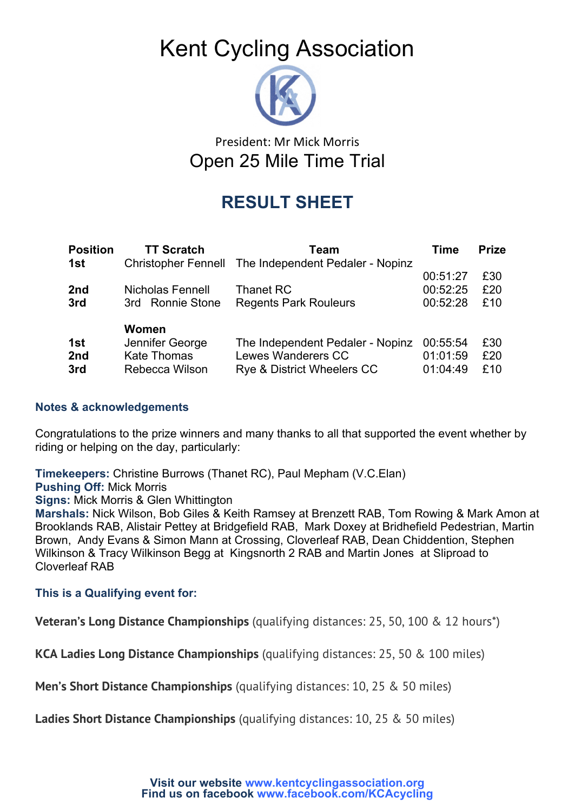# Kent Cycling Association



### President: Mr Mick Morris Open 25 Mile Time Trial

## **RESULT SHEET**

| <b>Position</b> | <b>TT Scratch</b>          | Team                                  | Time     | <b>Prize</b> |
|-----------------|----------------------------|---------------------------------------|----------|--------------|
| 1st             | <b>Christopher Fennell</b> | The Independent Pedaler - Nopinz      |          |              |
|                 |                            |                                       | 00:51:27 | £30          |
| 2nd             | Nicholas Fennell           | Thanet RC                             | 00:52:25 | £20          |
| 3rd             | 3rd Ronnie Stone           | <b>Regents Park Rouleurs</b>          | 00:52:28 | £10          |
|                 | Women                      |                                       |          |              |
| 1st             | Jennifer George            | The Independent Pedaler - Nopinz      | 00:55:54 | £30          |
| 2nd             | <b>Kate Thomas</b>         | Lewes Wanderers CC                    | 01:01:59 | £20          |
| 3rd             | Rebecca Wilson             | <b>Rye &amp; District Wheelers CC</b> | 01:04:49 | £10          |
|                 |                            |                                       |          |              |

#### **Notes & acknowledgements**

Congratulations to the prize winners and many thanks to all that supported the event whether by riding or helping on the day, particularly:

**Timekeepers:** Christine Burrows (Thanet RC), Paul Mepham (V.C.Elan)

**Pushing Off:** Mick Morris

**Signs:** Mick Morris & Glen Whittington

**Marshals:** Nick Wilson, Bob Giles & Keith Ramsey at Brenzett RAB, Tom Rowing & Mark Amon at Brooklands RAB, Alistair Pettey at Bridgefield RAB, Mark Doxey at Bridhefield Pedestrian, Martin Brown, Andy Evans & Simon Mann at Crossing, Cloverleaf RAB, Dean Chiddention, Stephen Wilkinson & Tracy Wilkinson Begg at Kingsnorth 2 RAB and Martin Jones at Sliproad to Cloverleaf RAB

#### **This is a Qualifying event for:**

**Veteran's Long Distance Championships** (qualifying distances: 25, 50, 100 & 12 hours\*)

**KCA Ladies Long Distance Championships** (qualifying distances: 25, 50 & 100 miles)

**Men's Short Distance Championships** (qualifying distances: 10, 25 & 50 miles)

**Ladies Short Distance Championships** (qualifying distances: 10, 25 & 50 miles)